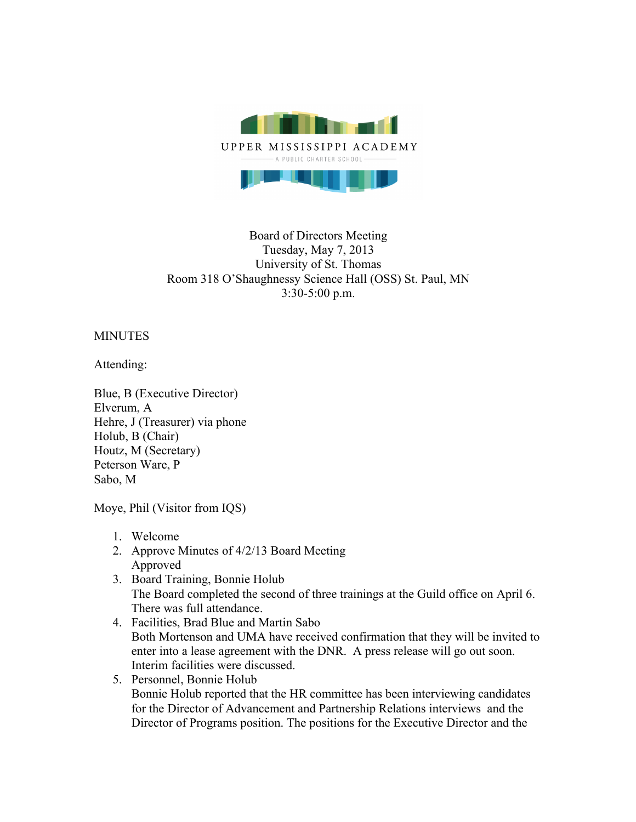

## Board of Directors Meeting Tuesday, May 7, 2013 University of St. Thomas Room 318 O'Shaughnessy Science Hall (OSS) St. Paul, MN 3:30-5:00 p.m.

## MINUTES

Attending:

Blue, B (Executive Director) Elverum, A Hehre, J (Treasurer) via phone Holub, B (Chair) Houtz, M (Secretary) Peterson Ware, P Sabo, M

Moye, Phil (Visitor from IQS)

- 1. Welcome
- 2. Approve Minutes of 4/2/13 Board Meeting Approved
- 3. Board Training, Bonnie Holub The Board completed the second of three trainings at the Guild office on April 6. There was full attendance.
- 4. Facilities, Brad Blue and Martin Sabo Both Mortenson and UMA have received confirmation that they will be invited to enter into a lease agreement with the DNR. A press release will go out soon. Interim facilities were discussed.
- 5. Personnel, Bonnie Holub Bonnie Holub reported that the HR committee has been interviewing candidates for the Director of Advancement and Partnership Relations interviews and the Director of Programs position. The positions for the Executive Director and the